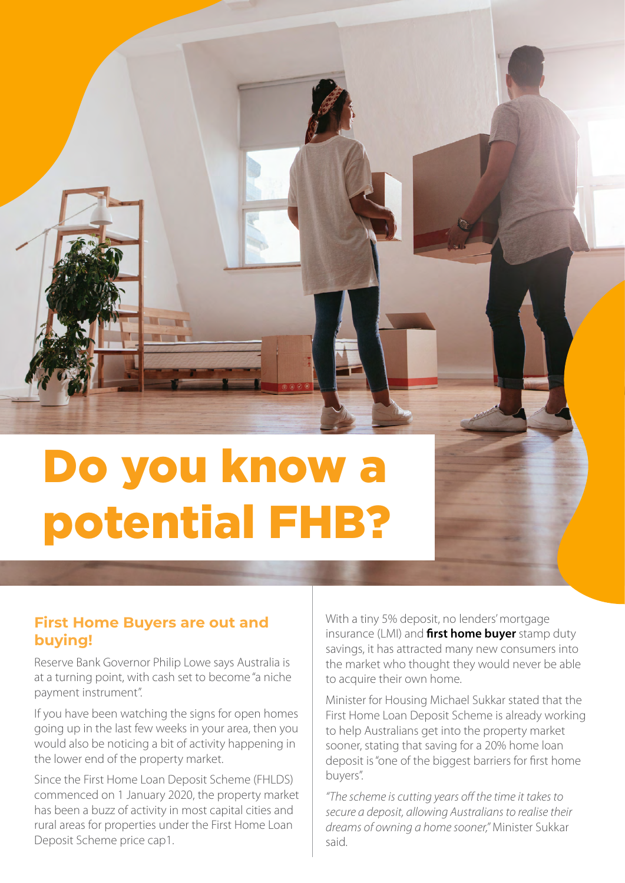

## Do you know a potential FHB?

## **First Home Buyers are out and buying!**

Reserve Bank Governor Philip Lowe says Australia is at a turning point, with cash set to become "a niche payment instrument".

If you have been watching the signs for open homes going up in the last few weeks in your area, then you would also be noticing a bit of activity happening in the lower end of the property market.

Since the First Home Loan Deposit Scheme (FHLDS) commenced on 1 January 2020, the property market has been a buzz of activity in most capital cities and rural areas for properties under the First Home Loan Deposit Scheme price cap1.

With a tiny 5% deposit, no lenders' mortgage insurance (LMI) and **first home buyer** stamp duty savings, it has attracted many new consumers into the market who thought they would never be able to acquire their own home.

Minister for Housing Michael Sukkar stated that the First Home Loan Deposit Scheme is already working to help Australians get into the property market sooner, stating that saving for a 20% home loan deposit is "one of the biggest barriers for first home buyers".

*"The scheme is cutting years off the time it takes to secure a deposit, allowing Australians to realise their dreams of owning a home sooner,"* Minister Sukkar said.